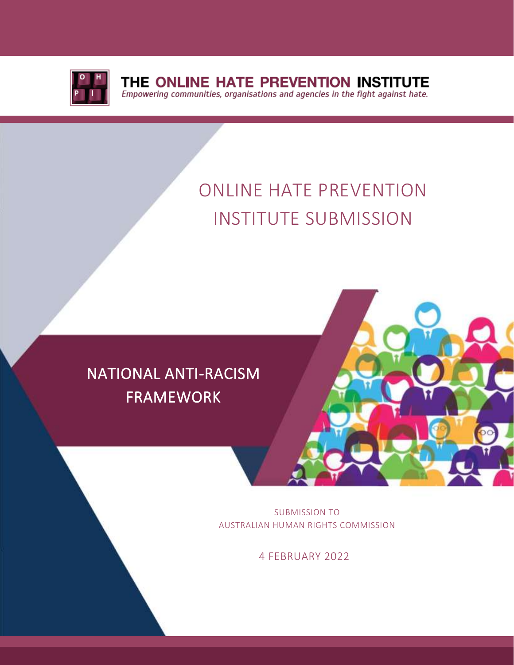

**THE ONLINE HATE PREVENTION INSTITUTE**<br>*Empowering communities, organisations and agencies in the fight against hate.* 

# ONLINE HATE PREVENTION INSTITUTE SUBMISSION

## NATIONAL ANTI-RACISM FRAMEWORK

l



SUBMISSION TO AUSTRALIAN HUMAN RIGHTS COMMISSION

4 FEBRUARY 2022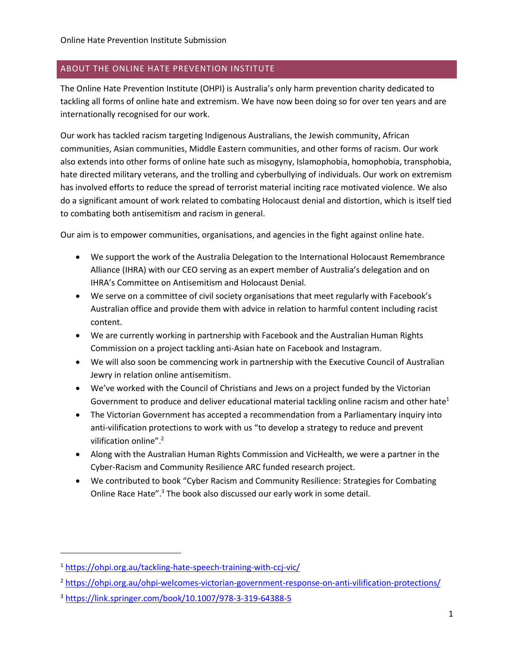#### ABOUT THE ONLINE HATE PREVENTION INSTITUTE

The Online Hate Prevention Institute (OHPI) is Australia's only harm prevention charity dedicated to tackling all forms of online hate and extremism. We have now been doing so for over ten years and are internationally recognised for our work.

Our work has tackled racism targeting Indigenous Australians, the Jewish community, African communities, Asian communities, Middle Eastern communities, and other forms of racism. Our work also extends into other forms of online hate such as misogyny, Islamophobia, homophobia, transphobia, hate directed military veterans, and the trolling and cyberbullying of individuals. Our work on extremism has involved efforts to reduce the spread of terrorist material inciting race motivated violence. We also do a significant amount of work related to combating Holocaust denial and distortion, which is itself tied to combating both antisemitism and racism in general.

Our aim is to empower communities, organisations, and agencies in the fight against online hate.

- We support the work of the Australia Delegation to the International Holocaust Remembrance Alliance (IHRA) with our CEO serving as an expert member of Australia's delegation and on IHRA's Committee on Antisemitism and Holocaust Denial.
- We serve on a committee of civil society organisations that meet regularly with Facebook's Australian office and provide them with advice in relation to harmful content including racist content.
- We are currently working in partnership with Facebook and the Australian Human Rights Commission on a project tackling anti-Asian hate on Facebook and Instagram.
- We will also soon be commencing work in partnership with the Executive Council of Australian Jewry in relation online antisemitism.
- We've worked with the Council of Christians and Jews on a project funded by the Victorian Government to produce and deliver educational material tackling online racism and other hate<sup>1</sup>
- The Victorian Government has accepted a recommendation from a Parliamentary inquiry into anti-vilification protections to work with us "to develop a strategy to reduce and prevent vilification online".<sup>2</sup>
- Along with the Australian Human Rights Commission and VicHealth, we were a partner in the Cyber-Racism and Community Resilience ARC funded research project.
- We contributed to book "Cyber Racism and Community Resilience: Strategies for Combating Online Race Hate".<sup>3</sup> The book also discussed our early work in some detail.

<sup>&</sup>lt;sup>1</sup> <https://ohpi.org.au/tackling-hate-speech-training-with-ccj-vic/>

<sup>&</sup>lt;sup>2</sup> <https://ohpi.org.au/ohpi-welcomes-victorian-government-response-on-anti-vilification-protections/>

<sup>3</sup> <https://link.springer.com/book/10.1007/978-3-319-64388-5>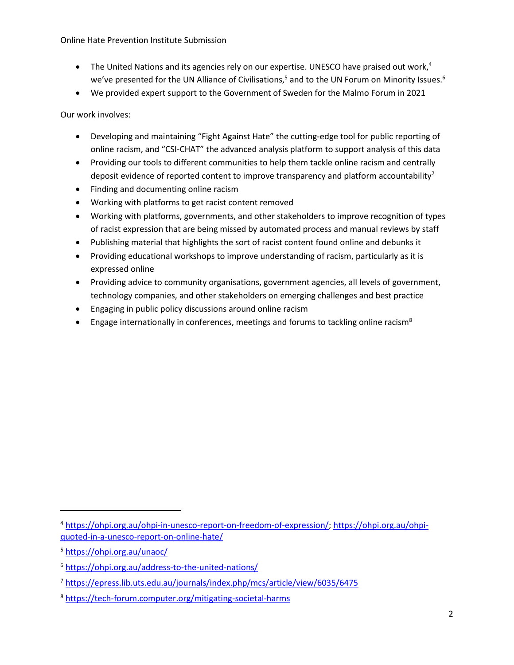Online Hate Prevention Institute Submission

- The United Nations and its agencies rely on our expertise. UNESCO have praised out work, $4$ we've presented for the UN Alliance of Civilisations,<sup>5</sup> and to the UN Forum on Minority Issues.<sup>6</sup>
- We provided expert support to the Government of Sweden for the Malmo Forum in 2021

Our work involves:

- Developing and maintaining "Fight Against Hate" the cutting-edge tool for public reporting of online racism, and "CSI-CHAT" the advanced analysis platform to support analysis of this data
- Providing our tools to different communities to help them tackle online racism and centrally deposit evidence of reported content to improve transparency and platform accountability<sup>7</sup>
- Finding and documenting online racism
- Working with platforms to get racist content removed
- Working with platforms, governments, and other stakeholders to improve recognition of types of racist expression that are being missed by automated process and manual reviews by staff
- Publishing material that highlights the sort of racist content found online and debunks it
- Providing educational workshops to improve understanding of racism, particularly as it is expressed online
- Providing advice to community organisations, government agencies, all levels of government, technology companies, and other stakeholders on emerging challenges and best practice
- Engaging in public policy discussions around online racism
- Engage internationally in conferences, meetings and forums to tackling online racism<sup>8</sup>

<sup>4</sup> [https://ohpi.org.au/ohpi-in-unesco-report-on-freedom-of-expression/;](https://ohpi.org.au/ohpi-in-unesco-report-on-freedom-of-expression/) [https://ohpi.org.au/ohpi](https://ohpi.org.au/ohpi-quoted-in-a-unesco-report-on-online-hate/)[quoted-in-a-unesco-report-on-online-hate/](https://ohpi.org.au/ohpi-quoted-in-a-unesco-report-on-online-hate/)

<sup>5</sup> <https://ohpi.org.au/unaoc/>

<sup>6</sup> <https://ohpi.org.au/address-to-the-united-nations/>

<sup>7</sup> <https://epress.lib.uts.edu.au/journals/index.php/mcs/article/view/6035/6475>

<sup>8</sup> <https://tech-forum.computer.org/mitigating-societal-harms>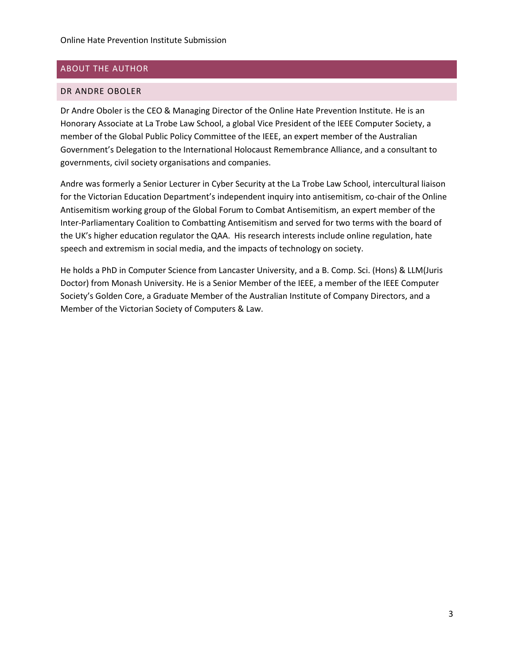#### ABOUT THE AUTHOR

#### DR ANDRE OBOLER

Dr Andre Oboler is the CEO & Managing Director of the Online Hate Prevention Institute. He is an Honorary Associate at La Trobe Law School, a global Vice President of the IEEE Computer Society, a member of the Global Public Policy Committee of the IEEE, an expert member of the Australian Government's Delegation to the International Holocaust Remembrance Alliance, and a consultant to governments, civil society organisations and companies.

Andre was formerly a Senior Lecturer in Cyber Security at the La Trobe Law School, intercultural liaison for the Victorian Education Department's independent inquiry into antisemitism, co-chair of the Online Antisemitism working group of the Global Forum to Combat Antisemitism, an expert member of the Inter-Parliamentary Coalition to Combatting Antisemitism and served for two terms with the board of the UK's higher education regulator the QAA. His research interests include online regulation, hate speech and extremism in social media, and the impacts of technology on society.

He holds a PhD in Computer Science from Lancaster University, and a B. Comp. Sci. (Hons) & LLM(Juris Doctor) from Monash University. He is a Senior Member of the IEEE, a member of the IEEE Computer Society's Golden Core, a Graduate Member of the Australian Institute of Company Directors, and a Member of the Victorian Society of Computers & Law.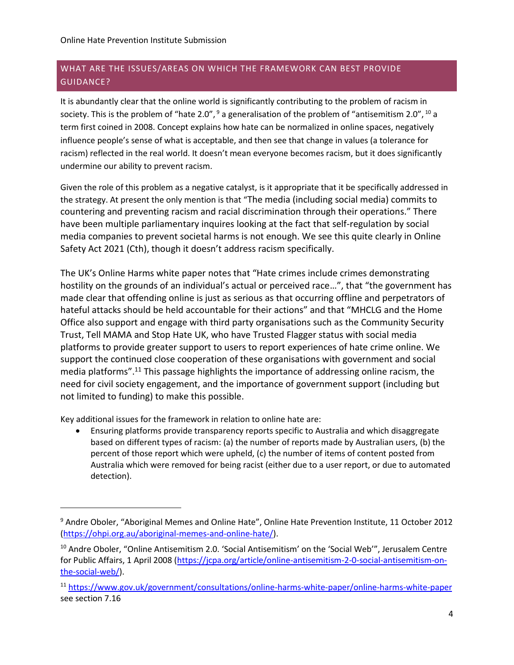## WHAT ARE THE ISSUES/AREAS ON WHICH THE FRAMEWORK CAN BEST PROVIDE GUIDANCE?

It is abundantly clear that the online world is significantly contributing to the problem of racism in society. This is the problem of "hate 2.0",  $9$  a generalisation of the problem of "antisemitism 2.0",  $^{10}$  a term first coined in 2008. Concept explains how hate can be normalized in online spaces, negatively influence people's sense of what is acceptable, and then see that change in values (a tolerance for racism) reflected in the real world. It doesn't mean everyone becomes racism, but it does significantly undermine our ability to prevent racism.

Given the role of this problem as a negative catalyst, is it appropriate that it be specifically addressed in the strategy. At present the only mention is that "The media (including social media) commits to countering and preventing racism and racial discrimination through their operations." There have been multiple parliamentary inquires looking at the fact that self-regulation by social media companies to prevent societal harms is not enough. We see this quite clearly in Online Safety Act 2021 (Cth), though it doesn't address racism specifically.

The UK's Online Harms white paper notes that "Hate crimes include crimes demonstrating hostility on the grounds of an individual's actual or perceived race…", that "the government has made clear that offending online is just as serious as that occurring offline and perpetrators of hateful attacks should be held accountable for their actions" and that "MHCLG and the Home Office also support and engage with third party organisations such as the Community Security Trust, Tell MAMA and Stop Hate UK, who have Trusted Flagger status with social media platforms to provide greater support to users to report experiences of hate crime online. We support the continued close cooperation of these organisations with government and social media platforms". <sup>11</sup> This passage highlights the importance of addressing online racism, the need for civil society engagement, and the importance of government support (including but not limited to funding) to make this possible.

Key additional issues for the framework in relation to online hate are:

• Ensuring platforms provide transparency reports specific to Australia and which disaggregate based on different types of racism: (a) the number of reports made by Australian users, (b) the percent of those report which were upheld, (c) the number of items of content posted from Australia which were removed for being racist (either due to a user report, or due to automated detection).

<sup>&</sup>lt;sup>9</sup> Andre Oboler, "Aboriginal Memes and Online Hate", Online Hate Prevention Institute, 11 October 2012 [\(https://ohpi.org.au/aboriginal-memes-and-online-hate/\)](https://ohpi.org.au/aboriginal-memes-and-online-hate/).

<sup>&</sup>lt;sup>10</sup> Andre Oboler, "Online Antisemitism 2.0. 'Social Antisemitism' on the 'Social Web'", Jerusalem Centre for Public Affairs, 1 April 2008 [\(https://jcpa.org/article/online-antisemitism-2-0-social-antisemitism-on](https://jcpa.org/article/online-antisemitism-2-0-social-antisemitism-on-the-social-web/)[the-social-web/\)](https://jcpa.org/article/online-antisemitism-2-0-social-antisemitism-on-the-social-web/).

<sup>11</sup> <https://www.gov.uk/government/consultations/online-harms-white-paper/online-harms-white-paper> see section 7.16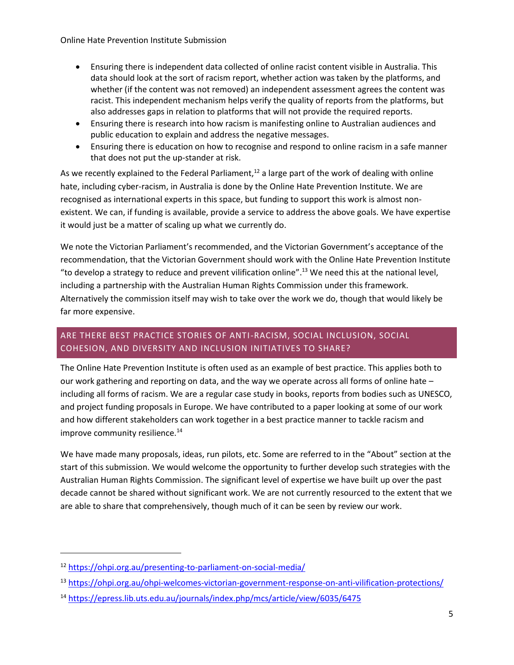Online Hate Prevention Institute Submission

- Ensuring there is independent data collected of online racist content visible in Australia. This data should look at the sort of racism report, whether action was taken by the platforms, and whether (if the content was not removed) an independent assessment agrees the content was racist. This independent mechanism helps verify the quality of reports from the platforms, but also addresses gaps in relation to platforms that will not provide the required reports.
- Ensuring there is research into how racism is manifesting online to Australian audiences and public education to explain and address the negative messages.
- Ensuring there is education on how to recognise and respond to online racism in a safe manner that does not put the up-stander at risk.

As we recently explained to the Federal Parliament,<sup>12</sup> a large part of the work of dealing with online hate, including cyber-racism, in Australia is done by the Online Hate Prevention Institute. We are recognised as international experts in this space, but funding to support this work is almost nonexistent. We can, if funding is available, provide a service to address the above goals. We have expertise it would just be a matter of scaling up what we currently do.

We note the Victorian Parliament's recommended, and the Victorian Government's acceptance of the recommendation, that the Victorian Government should work with the Online Hate Prevention Institute "to develop a strategy to reduce and prevent vilification online".<sup>13</sup> We need this at the national level, including a partnership with the Australian Human Rights Commission under this framework. Alternatively the commission itself may wish to take over the work we do, though that would likely be far more expensive.

## ARE THERE BEST PRACTICE STORIES OF ANTI-RACISM, SOCIAL INCLUSION, SOCIAL COHESION, AND DIVERSITY AND INCLUSION INITIATIVES TO SHARE?

The Online Hate Prevention Institute is often used as an example of best practice. This applies both to our work gathering and reporting on data, and the way we operate across all forms of online hate – including all forms of racism. We are a regular case study in books, reports from bodies such as UNESCO, and project funding proposals in Europe. We have contributed to a paper looking at some of our work and how different stakeholders can work together in a best practice manner to tackle racism and improve community resilience.<sup>14</sup>

We have made many proposals, ideas, run pilots, etc. Some are referred to in the "About" section at the start of this submission. We would welcome the opportunity to further develop such strategies with the Australian Human Rights Commission. The significant level of expertise we have built up over the past decade cannot be shared without significant work. We are not currently resourced to the extent that we are able to share that comprehensively, though much of it can be seen by review our work.

<sup>12</sup> <https://ohpi.org.au/presenting-to-parliament-on-social-media/>

<sup>13</sup> <https://ohpi.org.au/ohpi-welcomes-victorian-government-response-on-anti-vilification-protections/>

<sup>14</sup> <https://epress.lib.uts.edu.au/journals/index.php/mcs/article/view/6035/6475>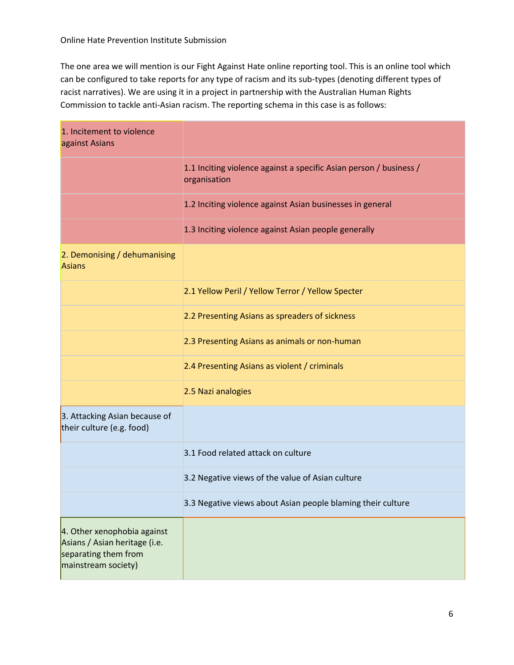The one area we will mention is our Fight Against Hate online reporting tool. This is an online tool which can be configured to take reports for any type of racism and its sub-types (denoting different types of racist narratives). We are using it in a project in partnership with the Australian Human Rights Commission to tackle anti-Asian racism. The reporting schema in this case is as follows:

| 1. Incitement to violence<br>against Asians                                                                 |                                                                                    |
|-------------------------------------------------------------------------------------------------------------|------------------------------------------------------------------------------------|
|                                                                                                             | 1.1 Inciting violence against a specific Asian person / business /<br>organisation |
|                                                                                                             | 1.2 Inciting violence against Asian businesses in general                          |
|                                                                                                             | 1.3 Inciting violence against Asian people generally                               |
| 2. Demonising / dehumanising<br><b>Asians</b>                                                               |                                                                                    |
|                                                                                                             | 2.1 Yellow Peril / Yellow Terror / Yellow Specter                                  |
|                                                                                                             | 2.2 Presenting Asians as spreaders of sickness                                     |
|                                                                                                             | 2.3 Presenting Asians as animals or non-human                                      |
|                                                                                                             | 2.4 Presenting Asians as violent / criminals                                       |
|                                                                                                             | 2.5 Nazi analogies                                                                 |
| 3. Attacking Asian because of<br>their culture (e.g. food)                                                  |                                                                                    |
|                                                                                                             | 3.1 Food related attack on culture                                                 |
|                                                                                                             | 3.2 Negative views of the value of Asian culture                                   |
|                                                                                                             | 3.3 Negative views about Asian people blaming their culture                        |
| 4. Other xenophobia against<br>Asians / Asian heritage (i.e.<br>separating them from<br>mainstream society) |                                                                                    |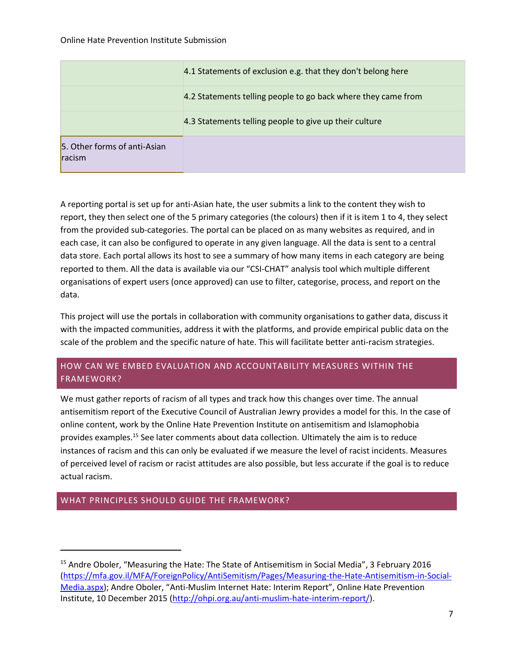|                                               | 4.1 Statements of exclusion e.g. that they don't belong here  |
|-----------------------------------------------|---------------------------------------------------------------|
|                                               | 4.2 Statements telling people to go back where they came from |
|                                               | 4.3 Statements telling people to give up their culture        |
| 5. Other forms of anti-Asian<br><b>racism</b> |                                                               |

A reporting portal is set up for anti-Asian hate, the user submits a link to the content they wish to report, they then select one of the 5 primary categories (the colours) then if it is item 1 to 4, they select from the provided sub-categories. The portal can be placed on as many websites as required, and in each case, it can also be configured to operate in any given language. All the data is sent to a central data store. Each portal allows its host to see a summary of how many items in each category are being reported to them. All the data is available via our "CSI-CHAT" analysis tool which multiple different organisations of expert users (once approved) can use to filter, categorise, process, and report on the data.

This project will use the portals in collaboration with community organisations to gather data, discuss it with the impacted communities, address it with the platforms, and provide empirical public data on the scale of the problem and the specific nature of hate. This will facilitate better anti-racism strategies.

## HOW CAN WE EMBED EVALUATION AND ACCOUNTABILITY MEASURES WITHIN THE FRAMEWORK?

We must gather reports of racism of all types and track how this changes over time. The annual antisemitism report of the Executive Council of Australian Jewry provides a model for this. In the case of online content, work by the Online Hate Prevention Institute on antisemitism and Islamophobia provides examples.<sup>15</sup> See later comments about data collection. Ultimately the aim is to reduce instances of racism and this can only be evaluated if we measure the level of racist incidents. Measures of perceived level of racism or racist attitudes are also possible, but less accurate if the goal is to reduce actual racism.

#### WHAT PRINCIPLES SHOULD GUIDE THE FRAMEWORK?

<sup>&</sup>lt;sup>15</sup> Andre Oboler, "Measuring the Hate: The State of Antisemitism in Social Media", 3 February 2016 [\(https://mfa.gov.il/MFA/ForeignPolicy/AntiSemitism/Pages/Measuring-the-Hate-Antisemitism-in-Social-](https://mfa.gov.il/MFA/ForeignPolicy/AntiSemitism/Pages/Measuring-the-Hate-Antisemitism-in-Social-Media.aspx)[Media.aspx](https://mfa.gov.il/MFA/ForeignPolicy/AntiSemitism/Pages/Measuring-the-Hate-Antisemitism-in-Social-Media.aspx)); Andre Oboler, "Anti-Muslim Internet Hate: Interim Report", Online Hate Prevention Institute, 10 December 2015 [\(http://ohpi.org.au/anti-muslim-hate-interim-report/\)](http://ohpi.org.au/anti-muslim-hate-interim-report/).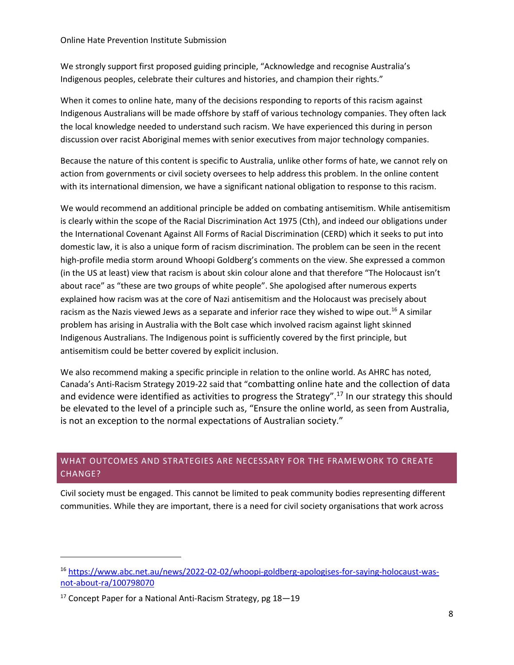#### Online Hate Prevention Institute Submission

We strongly support first proposed guiding principle, "Acknowledge and recognise Australia's Indigenous peoples, celebrate their cultures and histories, and champion their rights."

When it comes to online hate, many of the decisions responding to reports of this racism against Indigenous Australians will be made offshore by staff of various technology companies. They often lack the local knowledge needed to understand such racism. We have experienced this during in person discussion over racist Aboriginal memes with senior executives from major technology companies.

Because the nature of this content is specific to Australia, unlike other forms of hate, we cannot rely on action from governments or civil society oversees to help address this problem. In the online content with its international dimension, we have a significant national obligation to response to this racism.

We would recommend an additional principle be added on combating antisemitism. While antisemitism is clearly within the scope of the Racial Discrimination Act 1975 (Cth), and indeed our obligations under the International Covenant Against All Forms of Racial Discrimination (CERD) which it seeks to put into domestic law, it is also a unique form of racism discrimination. The problem can be seen in the recent high-profile media storm around Whoopi Goldberg's comments on the view. She expressed a common (in the US at least) view that racism is about skin colour alone and that therefore "The Holocaust isn't about race" as "these are two groups of white people". She apologised after numerous experts explained how racism was at the core of Nazi antisemitism and the Holocaust was precisely about racism as the Nazis viewed Jews as a separate and inferior race they wished to wipe out.<sup>16</sup> A similar problem has arising in Australia with the Bolt case which involved racism against light skinned Indigenous Australians. The Indigenous point is sufficiently covered by the first principle, but antisemitism could be better covered by explicit inclusion.

We also recommend making a specific principle in relation to the online world. As AHRC has noted, Canada's Anti-Racism Strategy 2019-22 said that "combatting online hate and the collection of data and evidence were identified as activities to progress the Strategy".<sup>17</sup> In our strategy this should be elevated to the level of a principle such as, "Ensure the online world, as seen from Australia, is not an exception to the normal expectations of Australian society."

## WHAT OUTCOMES AND STRATEGIES ARE NECESSARY FOR THE FRAMEWORK TO CREATE CHANGE?

Civil society must be engaged. This cannot be limited to peak community bodies representing different communities. While they are important, there is a need for civil society organisations that work across

<sup>16</sup> [https://www.abc.net.au/news/2022-02-02/whoopi-goldberg-apologises-for-saying-holocaust-was](https://www.abc.net.au/news/2022-02-02/whoopi-goldberg-apologises-for-saying-holocaust-was-not-about-ra/100798070)[not-about-ra/100798070](https://www.abc.net.au/news/2022-02-02/whoopi-goldberg-apologises-for-saying-holocaust-was-not-about-ra/100798070)

 $17$  Concept Paper for a National Anti-Racism Strategy, pg  $18-19$